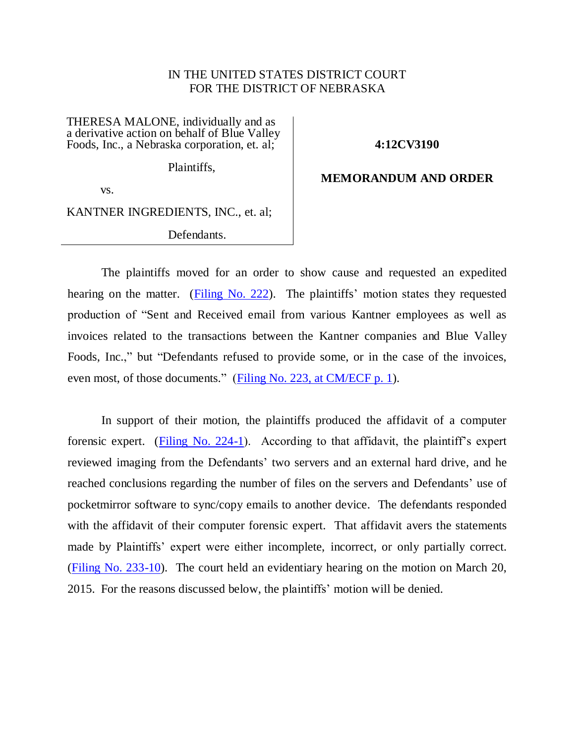# IN THE UNITED STATES DISTRICT COURT FOR THE DISTRICT OF NEBRASKA

THERESA MALONE, individually and as a derivative action on behalf of Blue Valley Foods, Inc., a Nebraska corporation, et. al;

#### **4:12CV3190**

Plaintiffs,

## **MEMORANDUM AND ORDER**

vs.

KANTNER INGREDIENTS, INC., et. al;

Defendants.

The plaintiffs moved for an order to show cause and requested an expedited hearing on the matter. [\(Filing No. 222\)](https://ecf.ned.uscourts.gov/doc1/11313164536). The plaintiffs' motion states they requested production of "Sent and Received email from various Kantner employees as well as invoices related to the transactions between the Kantner companies and Blue Valley Foods, Inc.," but "Defendants refused to provide some, or in the case of the invoices, even most, of those documents." [\(Filing No. 223, at CM/ECF p. 1\)](https://ecf.ned.uscourts.gov/doc1/11313164542?page=1).

In support of their motion, the plaintiffs produced the affidavit of a computer forensic expert. (Filing No.  $224-1$ ). According to that affidavit, the plaintiff's expert reviewed imaging from the Defendants' two servers and an external hard drive, and he reached conclusions regarding the number of files on the servers and Defendants' use of pocketmirror software to sync/copy emails to another device. The defendants responded with the affidavit of their computer forensic expert. That affidavit avers the statements made by Plaintiffs' expert were either incomplete, incorrect, or only partially correct. [\(Filing No. 233-10\)](https://ecf.ned.uscourts.gov/doc1/11313171300). The court held an evidentiary hearing on the motion on March 20, 2015. For the reasons discussed below, the plaintiffs' motion will be denied.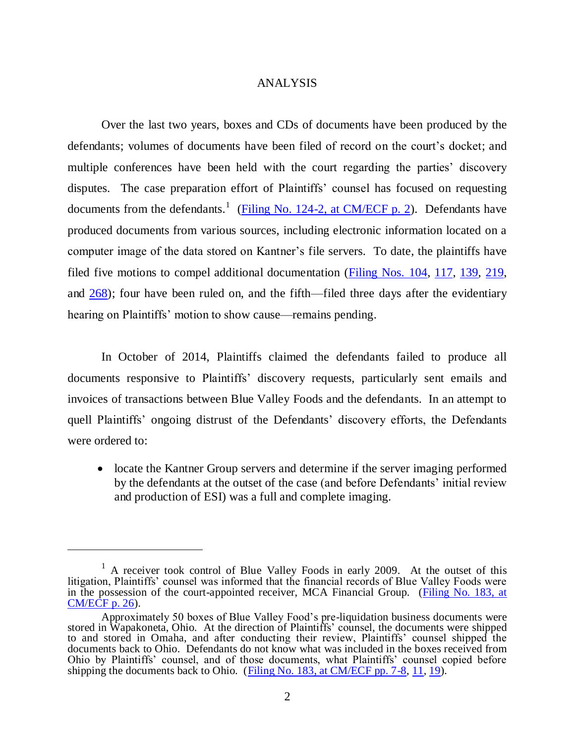## ANALYSIS

Over the last two years, boxes and CDs of documents have been produced by the defendants; volumes of documents have been filed of record on the court's docket; and multiple conferences have been held with the court regarding the parties' discovery disputes. The case preparation effort of Plaintiffs' counsel has focused on requesting documents from the defendants.<sup>1</sup> [\(Filing No. 124-2, at CM/ECF p. 2\)](https://ecf.ned.uscourts.gov/doc1/11312896410?page=2). Defendants have produced documents from various sources, including electronic information located on a computer image of the data stored on Kantner's file servers. To date, the plaintiffs have filed five motions to compel additional documentation [\(Filing Nos. 104,](https://ecf.ned.uscourts.gov/doc1/11312872357) [117,](https://ecf.ned.uscourts.gov/doc1/11312886416) [139,](https://ecf.ned.uscourts.gov/doc1/11312907028) [219,](https://ecf.ned.uscourts.gov/doc1/11313164346) and [268\)](https://ecf.ned.uscourts.gov/doc1/11313237305); four have been ruled on, and the fifth—filed three days after the evidentiary hearing on Plaintiffs' motion to show cause—remains pending.

In October of 2014, Plaintiffs claimed the defendants failed to produce all documents responsive to Plaintiffs' discovery requests, particularly sent emails and invoices of transactions between Blue Valley Foods and the defendants. In an attempt to quell Plaintiffs' ongoing distrust of the Defendants' discovery efforts, the Defendants were ordered to:

• locate the Kantner Group servers and determine if the server imaging performed by the defendants at the outset of the case (and before Defendants' initial review and production of ESI) was a full and complete imaging.

 $\overline{a}$ 

 $<sup>1</sup>$  A receiver took control of Blue Valley Foods in early 2009. At the outset of this</sup> litigation, Plaintiffs' counsel was informed that the financial records of Blue Valley Foods were in the possession of the court-appointed receiver, MCA Financial Group. [\(Filing No. 183, at](https://ecf.ned.uscourts.gov/doc1/11313086624?page=26)  [CM/ECF p. 26\)](https://ecf.ned.uscourts.gov/doc1/11313086624?page=26).

Approximately 50 boxes of Blue Valley Food's pre-liquidation business documents were stored in Wapakoneta, Ohio. At the direction of Plaintiffs' counsel, the documents were shipped to and stored in Omaha, and after conducting their review, Plaintiffs' counsel shipped the documents back to Ohio. Defendants do not know what was included in the boxes received from Ohio by Plaintiffs' counsel, and of those documents, what Plaintiffs' counsel copied before shipping the documents back to Ohio. [\(Filing No. 183, at CM/ECF pp. 7-8,](https://ecf.ned.uscourts.gov/doc1/11313086624?page=7) [11,](https://ecf.ned.uscourts.gov/doc1/11313086624?page=11) [19\)](https://ecf.ned.uscourts.gov/doc1/11313086624?page=19).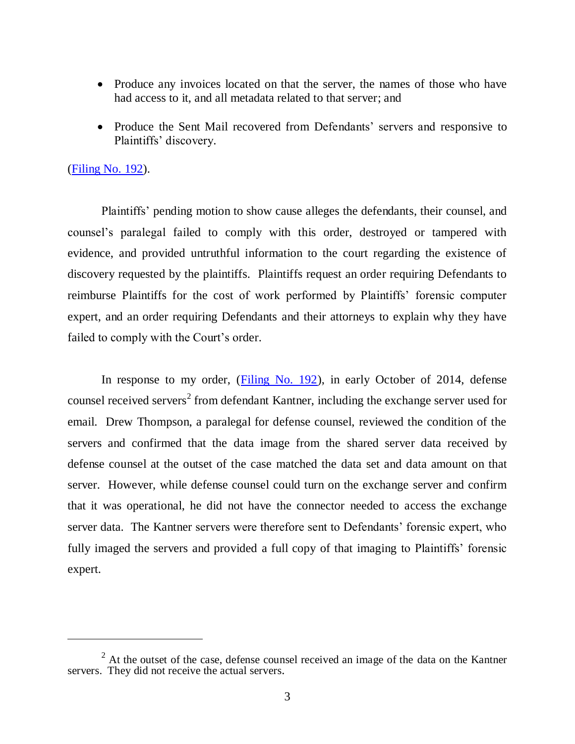- Produce any invoices located on that the server, the names of those who have had access to it, and all metadata related to that server; and
- Produce the Sent Mail recovered from Defendants' servers and responsive to Plaintiffs' discovery.

## [\(Filing No. 192\)](https://ecf.ned.uscourts.gov/doc1/11313098350).

 $\overline{a}$ 

Plaintiffs' pending motion to show cause alleges the defendants, their counsel, and counsel's paralegal failed to comply with this order, destroyed or tampered with evidence, and provided untruthful information to the court regarding the existence of discovery requested by the plaintiffs. Plaintiffs request an order requiring Defendants to reimburse Plaintiffs for the cost of work performed by Plaintiffs' forensic computer expert, and an order requiring Defendants and their attorneys to explain why they have failed to comply with the Court's order.

In response to my order, [\(Filing No. 192\)](https://ecf.ned.uscourts.gov/doc1/11313098350), in early October of 2014, defense counsel received servers<sup>2</sup> from defendant Kantner, including the exchange server used for email. Drew Thompson, a paralegal for defense counsel, reviewed the condition of the servers and confirmed that the data image from the shared server data received by defense counsel at the outset of the case matched the data set and data amount on that server. However, while defense counsel could turn on the exchange server and confirm that it was operational, he did not have the connector needed to access the exchange server data. The Kantner servers were therefore sent to Defendants' forensic expert, who fully imaged the servers and provided a full copy of that imaging to Plaintiffs' forensic expert.

 $2$  At the outset of the case, defense counsel received an image of the data on the Kantner servers. They did not receive the actual servers.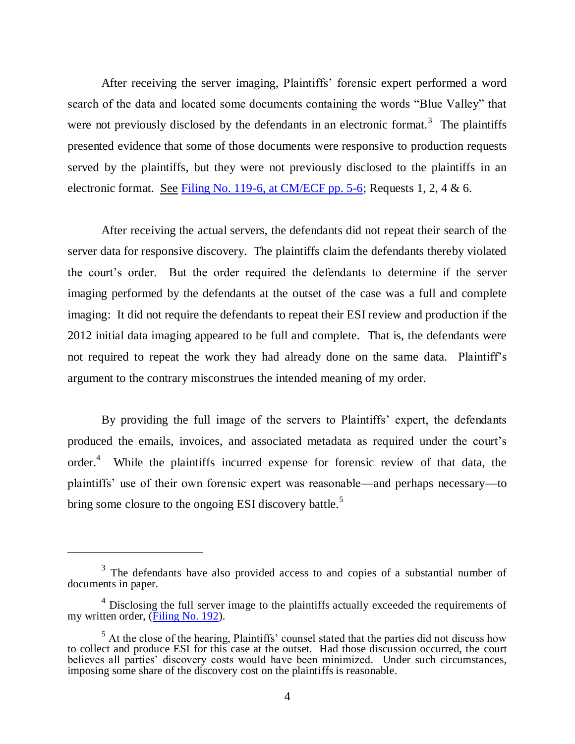After receiving the server imaging, Plaintiffs' forensic expert performed a word search of the data and located some documents containing the words "Blue Valley" that were not previously disclosed by the defendants in an electronic format.<sup>3</sup> The plaintiffs presented evidence that some of those documents were responsive to production requests served by the plaintiffs, but they were not previously disclosed to the plaintiffs in an electronic format. <u>See Filing No. 119-6, at CM/ECF pp. 5-6</u>; Requests 1, 2, 4 & 6.

After receiving the actual servers, the defendants did not repeat their search of the server data for responsive discovery. The plaintiffs claim the defendants thereby violated the court's order. But the order required the defendants to determine if the server imaging performed by the defendants at the outset of the case was a full and complete imaging: It did not require the defendants to repeat their ESI review and production if the 2012 initial data imaging appeared to be full and complete. That is, the defendants were not required to repeat the work they had already done on the same data. Plaintiff's argument to the contrary misconstrues the intended meaning of my order.

By providing the full image of the servers to Plaintiffs' expert, the defendants produced the emails, invoices, and associated metadata as required under the court's order.<sup>4</sup> While the plaintiffs incurred expense for forensic review of that data, the plaintiffs' use of their own forensic expert was reasonable—and perhaps necessary—to bring some closure to the ongoing ESI discovery battle.<sup>5</sup>

 $\overline{a}$ 

 $3$  The defendants have also provided access to and copies of a substantial number of documents in paper.

 $4$  Disclosing the full server image to the plaintiffs actually exceeded the requirements of my written order, [\(Filing No. 192\)](https://ecf.ned.uscourts.gov/doc1/11313098350).

 $<sup>5</sup>$  At the close of the hearing, Plaintiffs' counsel stated that the parties did not discuss how</sup> to collect and produce ESI for this case at the outset. Had those discussion occurred, the court believes all parties' discovery costs would have been minimized. Under such circumstances, imposing some share of the discovery cost on the plaintiffs is reasonable.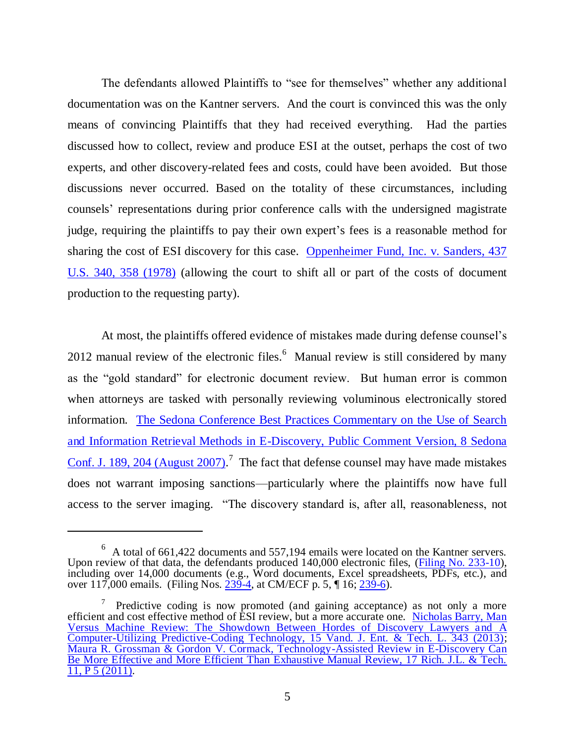The defendants allowed Plaintiffs to "see for themselves" whether any additional documentation was on the Kantner servers. And the court is convinced this was the only means of convincing Plaintiffs that they had received everything. Had the parties discussed how to collect, review and produce ESI at the outset, perhaps the cost of two experts, and other discovery-related fees and costs, could have been avoided. But those discussions never occurred. Based on the totality of these circumstances, including counsels' representations during prior conference calls with the undersigned magistrate judge, requiring the plaintiffs to pay their own expert's fees is a reasonable method for sharing the cost of ESI discovery for this case. [Oppenheimer Fund, Inc. v. Sanders, 437](http://www.westlaw.com/find/default.wl?ft=Y&referencepositiontype=S&rs=ap2.0&rp=%2ffind%2fdefault.wl&serialnum=1978139484&fn=_top&referenceposition=358&findtype=Y&vr=2.0&db=0000780&wbtoolsId=1978139484&HistoryType=F)  [U.S. 340, 358 \(1978\)](http://www.westlaw.com/find/default.wl?ft=Y&referencepositiontype=S&rs=ap2.0&rp=%2ffind%2fdefault.wl&serialnum=1978139484&fn=_top&referenceposition=358&findtype=Y&vr=2.0&db=0000780&wbtoolsId=1978139484&HistoryType=F) (allowing the court to shift all or part of the costs of document production to the requesting party).

At most, the plaintiffs offered evidence of mistakes made during defense counsel's 2012 manual review of the electronic files. $<sup>6</sup>$  Manual review is still considered by many</sup> as the "gold standard" for electronic document review. But human error is common when attorneys are tasked with personally reviewing voluminous electronically stored information. [The Sedona Conference Best Practices Commentary on the Use of Search](http://www.westlaw.com/find/default.wl?ft=Y&referencepositiontype=S&rs=ap2.0&rp=%2ffind%2fdefault.wl&serialnum=0333402570&fn=_top&referenceposition=204&findtype=Y&vr=2.0&db=0153638&wbtoolsId=0333402570&HistoryType=F)  [and Information Retrieval Methods in E-Discovery, Public Comment Version, 8 Sedona](http://www.westlaw.com/find/default.wl?ft=Y&referencepositiontype=S&rs=ap2.0&rp=%2ffind%2fdefault.wl&serialnum=0333402570&fn=_top&referenceposition=204&findtype=Y&vr=2.0&db=0153638&wbtoolsId=0333402570&HistoryType=F)  [Conf. J. 189, 204 \(August 2007\).](http://www.westlaw.com/find/default.wl?ft=Y&referencepositiontype=S&rs=ap2.0&rp=%2ffind%2fdefault.wl&serialnum=0333402570&fn=_top&referenceposition=204&findtype=Y&vr=2.0&db=0153638&wbtoolsId=0333402570&HistoryType=F)<sup>7</sup> The fact that defense counsel may have made mistakes does not warrant imposing sanctions—particularly where the plaintiffs now have full access to the server imaging. "The discovery standard is, after all, reasonableness, not

 $\overline{a}$ 

<sup>6</sup> A total of 661,422 documents and 557,194 emails were located on the Kantner servers. Upon review of that data, the defendants produced 140,000 electronic files, [\(Filing No. 233-10\)](https://ecf.ned.uscourts.gov/doc1/11313171300), including over 14,000 documents (e.g., Word documents, Excel spreadsheets, PDFs, etc.), and over 117,000 emails. (Filing Nos. [239-4,](https://ecf.ned.uscourts.gov/doc1/11313178870) at CM/ECF p. 5,  $\P$  16; [239-6\)](https://ecf.ned.uscourts.gov/doc1/11313178872).

<sup>7</sup> Predictive coding is now promoted (and gaining acceptance) as not only a more efficient and cost effective method of ESI review, but a more accurate one. [Nicholas Barry, Man](http://www.westlaw.com/find/default.wl?ft=Y&db=0191623&rs=ap2.0&rp=%2ffind%2fdefault.wl&serialnum=0385960868&fn=_top&findtype=Y&vr=2.0&wbtoolsId=0385960868&HistoryType=F)  [Versus Machine Review: The Showdown Between Hordes of Discovery Lawyers and A](http://www.westlaw.com/find/default.wl?ft=Y&db=0191623&rs=ap2.0&rp=%2ffind%2fdefault.wl&serialnum=0385960868&fn=_top&findtype=Y&vr=2.0&wbtoolsId=0385960868&HistoryType=F)  [Computer-Utilizing Predictive-Coding Technology, 15 Vand. J. Ent. & Tech. L. 343 \(2013\);](http://www.westlaw.com/find/default.wl?ft=Y&db=0191623&rs=ap2.0&rp=%2ffind%2fdefault.wl&serialnum=0385960868&fn=_top&findtype=Y&vr=2.0&wbtoolsId=0385960868&HistoryType=F) [Maura R. Grossman & Gordon V. Cormack, Technology-Assisted Review in E-Discovery Can](http://www.westlaw.com/find/default.wl?ft=Y&referencepositiontype=S&rs=ap2.0&rp=%2ffind%2fdefault.wl&serialnum=0362472737&fn=_top&referenceposition=5&findtype=Y&vr=2.0&db=0109834&wbtoolsId=0362472737&HistoryType=F)  [Be More Effective and More Efficient Than Exhaustive Manual Review, 17 Rich. J.L. & Tech.](http://www.westlaw.com/find/default.wl?ft=Y&referencepositiontype=S&rs=ap2.0&rp=%2ffind%2fdefault.wl&serialnum=0362472737&fn=_top&referenceposition=5&findtype=Y&vr=2.0&db=0109834&wbtoolsId=0362472737&HistoryType=F)   $11, P\overline{5(2011)}$ .